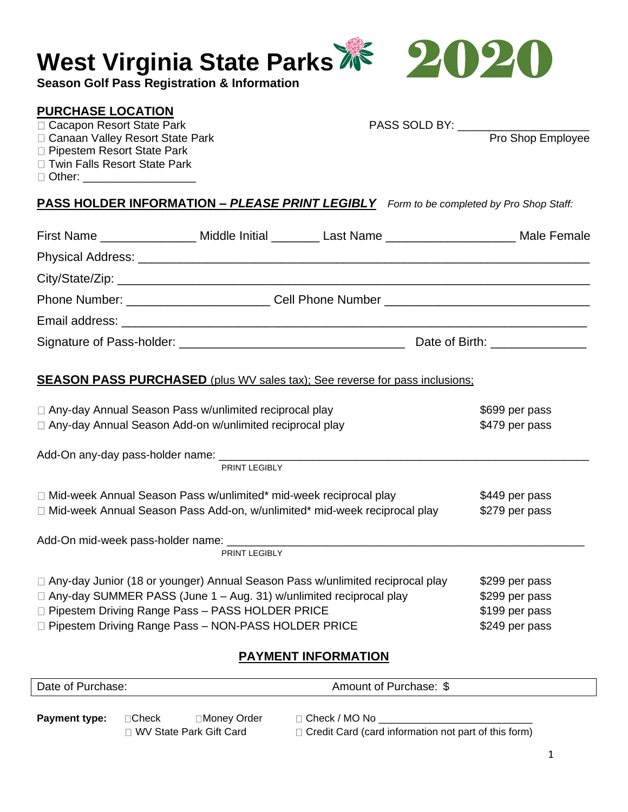| <b>West Virginia State Parks AP</b><br><b>Season Golf Pass Registration &amp; Information</b>                                                                                                                                                                         |                                  |                            |                                                                      |
|-----------------------------------------------------------------------------------------------------------------------------------------------------------------------------------------------------------------------------------------------------------------------|----------------------------------|----------------------------|----------------------------------------------------------------------|
| <b>PURCHASE LOCATION</b><br>□ Cacapon Resort State Park<br>□ Canaan Valley Resort State Park<br>□ Pipestem Resort State Park<br>□ Twin Falls Resort State Park<br>□ Other: ____________________                                                                       |                                  |                            | PASS SOLD BY: __________________<br>Pro Shop Employee                |
| <b>PASS HOLDER INFORMATION - PLEASE PRINT LEGIBLY</b> Form to be completed by Pro Shop Staff:                                                                                                                                                                         |                                  |                            |                                                                      |
| First Name _________________ Middle Initial ________ Last Name ______________________ Male Female                                                                                                                                                                     |                                  |                            |                                                                      |
|                                                                                                                                                                                                                                                                       |                                  |                            |                                                                      |
|                                                                                                                                                                                                                                                                       |                                  |                            |                                                                      |
|                                                                                                                                                                                                                                                                       |                                  |                            |                                                                      |
|                                                                                                                                                                                                                                                                       |                                  |                            |                                                                      |
|                                                                                                                                                                                                                                                                       |                                  |                            |                                                                      |
| <b>SEASON PASS PURCHASED</b> (plus WV sales tax); See reverse for pass inclusions;<br>□ Any-day Annual Season Pass w/unlimited reciprocal play<br>□ Any-day Annual Season Add-on w/unlimited reciprocal play                                                          |                                  |                            | \$699 per pass<br>\$479 per pass                                     |
|                                                                                                                                                                                                                                                                       | <b>PRINT LEGIBLY</b>             |                            |                                                                      |
| □ Mid-week Annual Season Pass w/unlimited* mid-week reciprocal play<br>□ Mid-week Annual Season Pass Add-on, w/unlimited* mid-week reciprocal play                                                                                                                    | \$449 per pass<br>\$279 per pass |                            |                                                                      |
|                                                                                                                                                                                                                                                                       | PRINT LEGIBLY                    |                            |                                                                      |
| □ Any-day Junior (18 or younger) Annual Season Pass w/unlimited reciprocal play<br>□ Any-day SUMMER PASS (June 1 – Aug. 31) w/unlimited reciprocal play<br>□ Pipestem Driving Range Pass - PASS HOLDER PRICE<br>□ Pipestem Driving Range Pass - NON-PASS HOLDER PRICE |                                  |                            | \$299 per pass<br>\$299 per pass<br>\$199 per pass<br>\$249 per pass |
|                                                                                                                                                                                                                                                                       |                                  | <b>PAYMENT INFORMATION</b> |                                                                      |

| Date of Purchase:<br>Amount of Purchase: \$ |                |              |                 |  |
|---------------------------------------------|----------------|--------------|-----------------|--|
|                                             |                |              |                 |  |
| <b>Payment type:</b>                        | $\sqcap$ Check | ∃Money Order | □ Check / MO No |  |

 $\Box$  WV State Park Gift Card  $\Box$  Credit Card (card information not part of this form)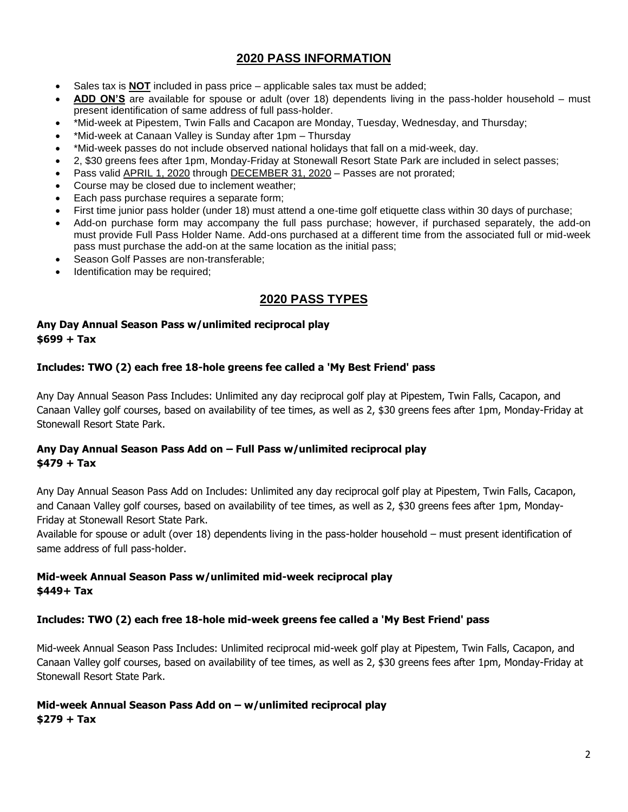# **2020 PASS INFORMATION**

- Sales tax is **NOT** included in pass price applicable sales tax must be added;
- **ADD ON'S** are available for spouse or adult (over 18) dependents living in the pass-holder household must present identification of same address of full pass-holder.
- \*Mid-week at Pipestem, Twin Falls and Cacapon are Monday, Tuesday, Wednesday, and Thursday;
- \*Mid-week at Canaan Valley is Sunday after 1pm Thursday
- \*Mid-week passes do not include observed national holidays that fall on a mid-week, day.
- 2, \$30 greens fees after 1pm, Monday-Friday at Stonewall Resort State Park are included in select passes;
- Pass valid APRIL 1, 2020 through DECEMBER 31, 2020 Passes are not prorated;
- Course may be closed due to inclement weather;
- Each pass purchase requires a separate form;
- First time junior pass holder (under 18) must attend a one-time golf etiquette class within 30 days of purchase;
- Add-on purchase form may accompany the full pass purchase; however, if purchased separately, the add-on must provide Full Pass Holder Name. Add-ons purchased at a different time from the associated full or mid-week pass must purchase the add-on at the same location as the initial pass;
- Season Golf Passes are non-transferable;
- Identification may be required;

## **2020 PASS TYPES**

#### **Any Day Annual Season Pass w/unlimited reciprocal play \$699 + Tax**

#### **Includes: TWO (2) each free 18-hole greens fee called a 'My Best Friend' pass**

Any Day Annual Season Pass Includes: Unlimited any day reciprocal golf play at Pipestem, Twin Falls, Cacapon, and Canaan Valley golf courses, based on availability of tee times, as well as 2, \$30 greens fees after 1pm, Monday-Friday at Stonewall Resort State Park.

#### **Any Day Annual Season Pass Add on – Full Pass w/unlimited reciprocal play \$479 + Tax**

Any Day Annual Season Pass Add on Includes: Unlimited any day reciprocal golf play at Pipestem, Twin Falls, Cacapon, and Canaan Valley golf courses, based on availability of tee times, as well as 2, \$30 greens fees after 1pm, Monday-Friday at Stonewall Resort State Park.

Available for spouse or adult (over 18) dependents living in the pass-holder household – must present identification of same address of full pass-holder.

#### **Mid-week Annual Season Pass w/unlimited mid-week reciprocal play \$449+ Tax**

#### **Includes: TWO (2) each free 18-hole mid-week greens fee called a 'My Best Friend' pass**

Mid-week Annual Season Pass Includes: Unlimited reciprocal mid-week golf play at Pipestem, Twin Falls, Cacapon, and Canaan Valley golf courses, based on availability of tee times, as well as 2, \$30 greens fees after 1pm, Monday-Friday at Stonewall Resort State Park.

#### **Mid-week Annual Season Pass Add on – w/unlimited reciprocal play \$279 + Tax**